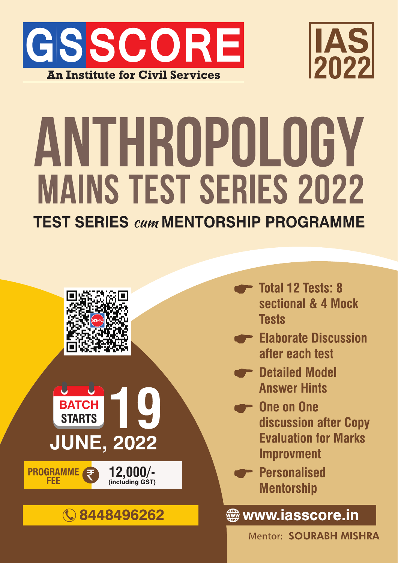



# ANTHROPOLOGY **MAINS TEST SERIES 2022**

**TEST SERIES cum MENTORSHIP PROGRAMME** 



- **Total 12 Tests: 8** sectional & 4 Mock **Tests**
- Elaborate Discussion after each test
- **P** Detailed Model **Answer Hints**
- **One on One** discussion after Copy **Evaluation for Marks Improvment**
- **Personalised Mentorship**

**∰www.iasscore.in** 

**Mentor: SOURABH MISHRA**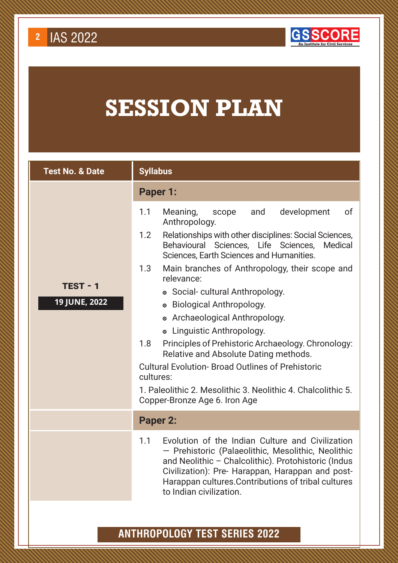

# **SESSION PLAN**

| <b>Test No. &amp; Date</b> | <b>Syllabus</b>                                                                                                                                                                                                                                                                                            |
|----------------------------|------------------------------------------------------------------------------------------------------------------------------------------------------------------------------------------------------------------------------------------------------------------------------------------------------------|
|                            | Paper 1:                                                                                                                                                                                                                                                                                                   |
|                            | development<br>of<br>1.1<br>Meaning,<br>and<br>scope<br>Anthropology.                                                                                                                                                                                                                                      |
|                            | Relationships with other disciplines: Social Sciences,<br>1.2<br>Behavioural<br>Sciences, Life Sciences,<br>Medical<br>Sciences, Earth Sciences and Humanities.                                                                                                                                            |
|                            | 1.3<br>Main branches of Anthropology, their scope and<br>relevance:                                                                                                                                                                                                                                        |
| $TEST - 1$                 | • Social-cultural Anthropology.                                                                                                                                                                                                                                                                            |
| 19 JUNE, 2022              | • Biological Anthropology.                                                                                                                                                                                                                                                                                 |
|                            | • Archaeological Anthropology.                                                                                                                                                                                                                                                                             |
|                            | • Linguistic Anthropology.                                                                                                                                                                                                                                                                                 |
|                            | Principles of Prehistoric Archaeology. Chronology:<br>1.8<br>Relative and Absolute Dating methods.                                                                                                                                                                                                         |
|                            | <b>Cultural Evolution-Broad Outlines of Prehistoric</b><br>cultures:                                                                                                                                                                                                                                       |
|                            | 1. Paleolithic 2. Mesolithic 3. Neolithic 4. Chalcolithic 5.<br>Copper-Bronze Age 6. Iron Age                                                                                                                                                                                                              |
|                            | <b>Paper 2:</b>                                                                                                                                                                                                                                                                                            |
|                            | Evolution of the Indian Culture and Civilization<br>1.1<br>- Prehistoric (Palaeolithic, Mesolithic, Neolithic<br>and Neolithic - Chalcolithic). Protohistoric (Indus<br>Civilization): Pre- Harappan, Harappan and post-<br>Harappan cultures. Contributions of tribal cultures<br>to Indian civilization. |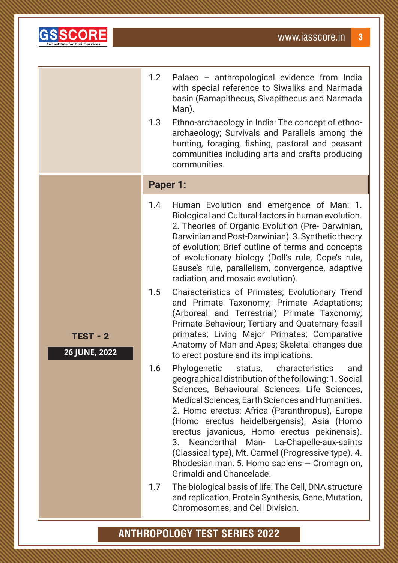

**TEST - 2**

**26 JUNE, 2022**

| 1.2 | Palaeo – anthropological evidence from India   |
|-----|------------------------------------------------|
|     | with special reference to Siwaliks and Narmada |
|     | basin (Ramapithecus, Sivapithecus and Narmada  |
|     | Man).                                          |

1.3 Ethno-archaeology in India: The concept of ethnoarchaeology; Survivals and Parallels among the hunting, foraging, fishing, pastoral and peasant communities including arts and crafts producing communities.

#### **Paper 1:**

- 1.4 Human Evolution and emergence of Man: 1. Biological and Cultural factors in human evolution. 2. Theories of Organic Evolution (Pre- Darwinian, Darwinian and Post-Darwinian). 3. Synthetic theory of evolution; Brief outline of terms and concepts of evolutionary biology (Doll's rule, Cope's rule, Gause's rule, parallelism, convergence, adaptive radiation, and mosaic evolution).
- 1.5 Characteristics of Primates; Evolutionary Trend and Primate Taxonomy; Primate Adaptations; (Arboreal and Terrestrial) Primate Taxonomy; Primate Behaviour; Tertiary and Quaternary fossil primates; Living Major Primates; Comparative Anatomy of Man and Apes; Skeletal changes due to erect posture and its implications.
- 1.6 Phylogenetic status, characteristics and geographical distribution of the following: 1. Social Sciences, Behavioural Sciences, Life Sciences, Medical Sciences, Earth Sciences and Humanities. 2. Homo erectus: Africa (Paranthropus), Europe (Homo erectus heidelbergensis), Asia (Homo erectus javanicus, Homo erectus pekinensis). 3. Neanderthal Man- La-Chapelle-aux-saints (Classical type), Mt. Carmel (Progressive type). 4. Rhodesian man. 5. Homo sapiens — Cromagn on, Grimaldi and Chancelade.
- 1.7 The biological basis of life: The Cell, DNA structure and replication, Protein Synthesis, Gene, Mutation, Chromosomes, and Cell Division.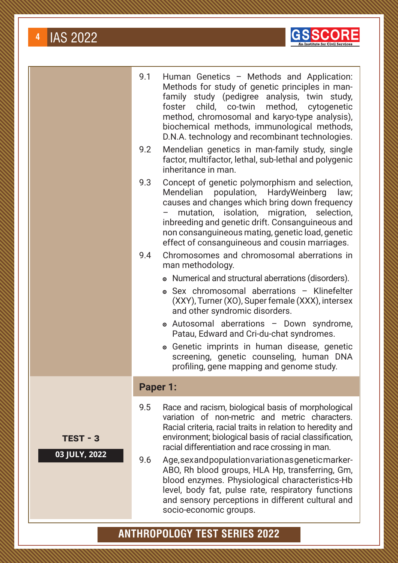



|         | 9.1 | Human Genetics - Methods and Application:<br>Methods for study of genetic principles in man-<br>family study (pedigree analysis, twin study,<br>child, co-twin method, cytogenetic<br>foster<br>method, chromosomal and karyo-type analysis),<br>biochemical methods, immunological methods,<br>D.N.A. technology and recombinant technologies.                              |
|---------|-----|------------------------------------------------------------------------------------------------------------------------------------------------------------------------------------------------------------------------------------------------------------------------------------------------------------------------------------------------------------------------------|
|         | 9.2 | Mendelian genetics in man-family study, single<br>factor, multifactor, lethal, sub-lethal and polygenic<br>inheritance in man.                                                                                                                                                                                                                                               |
|         | 9.3 | Concept of genetic polymorphism and selection,<br>population, HardyWeinberg<br>Mendelian<br>law;<br>causes and changes which bring down frequency<br>mutation, isolation, migration, selection,<br>inbreeding and genetic drift. Consanguineous and<br>non consanguineous mating, genetic load, genetic<br>effect of consanguineous and cousin marriages.                    |
|         | 9.4 | Chromosomes and chromosomal aberrations in<br>man methodology.                                                                                                                                                                                                                                                                                                               |
|         |     | • Numerical and structural aberrations (disorders).<br>• Sex chromosomal aberrations - Klinefelter<br>(XXY), Turner (XO), Super female (XXX), intersex<br>and other syndromic disorders.<br>• Autosomal aberrations - Down syndrome,<br>Patau, Edward and Cri-du-chat syndromes.<br>• Genetic imprints in human disease, genetic<br>screening, genetic counseling, human DNA |
|         |     | profiling, gene mapping and genome study.                                                                                                                                                                                                                                                                                                                                    |
|         |     | <b>Paper 1:</b>                                                                                                                                                                                                                                                                                                                                                              |
| 江 - 3   | 9.5 | Race and racism, biological basis of morphological<br>variation of non-metric and metric characters.<br>Racial criteria, racial traits in relation to heredity and<br>environment; biological basis of racial classification,<br>racial differentiation and race crossing in man.                                                                                            |
| Y, 2022 |     |                                                                                                                                                                                                                                                                                                                                                                              |

9.6 Age, sex and population variation as genetic marker-ABO, Rh blood groups, HLA Hp, transferring, Gm, blood enzymes. Physiological characteristics-Hb level, body fat, pulse rate, respiratory functions and sensory perceptions in different cultural and socio-economic groups.

# **ANTHROPOLOGY TEST SERIES 2022**

**TES** 

**03 JUL**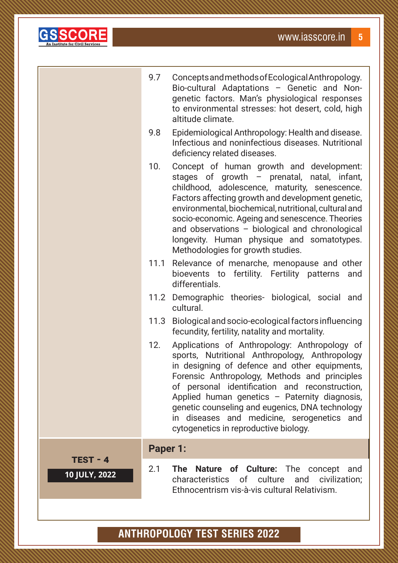

|               | 9.7      | Concepts and methods of Ecological Anthropology.<br>Bio-cultural Adaptations - Genetic and Non-<br>genetic factors. Man's physiological responses<br>to environmental stresses: hot desert, cold, high<br>altitude climate.                                                                                                                                                                                                                       |
|---------------|----------|---------------------------------------------------------------------------------------------------------------------------------------------------------------------------------------------------------------------------------------------------------------------------------------------------------------------------------------------------------------------------------------------------------------------------------------------------|
|               | 9.8      | Epidemiological Anthropology: Health and disease.<br>Infectious and noninfectious diseases. Nutritional<br>deficiency related diseases.                                                                                                                                                                                                                                                                                                           |
|               | 10.      | Concept of human growth and development:<br>stages of growth $-$ prenatal, natal, infant,<br>childhood, adolescence, maturity, senescence.<br>Factors affecting growth and development genetic,<br>environmental, biochemical, nutritional, cultural and<br>socio-economic. Ageing and senescence. Theories<br>and observations - biological and chronological<br>longevity. Human physique and somatotypes.<br>Methodologies for growth studies. |
|               |          | 11.1 Relevance of menarche, menopause and other<br>bioevents to fertility. Fertility patterns<br>and<br>differentials.                                                                                                                                                                                                                                                                                                                            |
|               |          | 11.2 Demographic theories- biological, social and<br>cultural.                                                                                                                                                                                                                                                                                                                                                                                    |
|               | 11.3     | Biological and socio-ecological factors influencing<br>fecundity, fertility, natality and mortality.                                                                                                                                                                                                                                                                                                                                              |
|               | 12.      | Applications of Anthropology: Anthropology of<br>sports, Nutritional Anthropology, Anthropology<br>in designing of defence and other equipments,<br>Forensic Anthropology, Methods and principles<br>of personal identification and reconstruction,<br>Applied human genetics - Paternity diagnosis,<br>genetic counseling and eugenics, DNA technology<br>in diseases and medicine, serogenetics and<br>cytogenetics in reproductive biology.    |
| $TEST - 4$    | Paper 1: |                                                                                                                                                                                                                                                                                                                                                                                                                                                   |
| 10 JULY, 2022 | 2.1      | The Nature of Culture: The concept<br>and<br>characteristics of culture and civilization;<br>Ethnocentrism vis-à-vis cultural Relativism.                                                                                                                                                                                                                                                                                                         |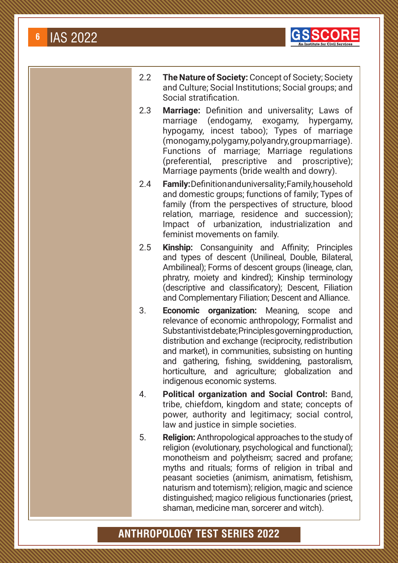

- 2.2 **The Nature of Society:** Concept of Society; Society and Culture; Social Institutions; Social groups; and Social stratification.
- 2.3 **Marriage:** Definition and universality; Laws of marriage (endogamy, exogamy, hypergamy, hypogamy, incest taboo); Types of marriage (monogamy, polygamy, polyandry, group marriage). Functions of marriage; Marriage regulations (preferential, prescriptive and proscriptive); Marriage payments (bride wealth and dowry).
- 2.4 **Family:** Definition and universality; Family, household and domestic groups; functions of family; Types of family (from the perspectives of structure, blood relation, marriage, residence and succession); Impact of urbanization, industrialization and feminist movements on family.
- 2.5 **Kinship:** Consanguinity and Affinity; Principles and types of descent (Unilineal, Double, Bilateral, Ambilineal); Forms of descent groups (lineage, clan, phratry, moiety and kindred); Kinship terminology (descriptive and classificatory); Descent, Filiation and Complementary Filiation; Descent and Alliance.
- 3. **Economic organization:** Meaning, scope and relevance of economic anthropology; Formalist and Substantivist debate; Principles governing production, distribution and exchange (reciprocity, redistribution and market), in communities, subsisting on hunting and gathering, fishing, swiddening, pastoralism, horticulture, and agriculture; globalization and indigenous economic systems.
- 4. **Political organization and Social Control:** Band, tribe, chiefdom, kingdom and state; concepts of power, authority and legitimacy; social control, law and justice in simple societies.
- 5. **Religion:** Anthropological approaches to the study of religion (evolutionary, psychological and functional); monotheism and polytheism; sacred and profane; myths and rituals; forms of religion in tribal and peasant societies (animism, animatism, fetishism, naturism and totemism); religion, magic and science distinguished; magico religious functionaries (priest, shaman, medicine man, sorcerer and witch).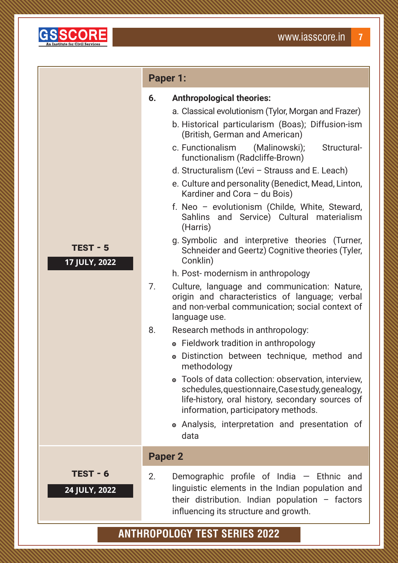

#### **Paper 1:**

| 6. | <b>Anthropological theories:</b> |
|----|----------------------------------|
|----|----------------------------------|

- a. Classical evolutionism (Tylor, Morgan and Frazer)
- b. Historical particularism (Boas); Diffusion-ism (British, German and American)
- c. Functionalism (Malinowski); Structuralfunctionalism (Radcliffe-Brown)
- d. Structuralism (L'evi Strauss and E. Leach)
- e. Culture and personality (Benedict, Mead, Linton, Kardiner and Cora – du Bois)
- f. Neo evolutionism (Childe, White, Steward, Sahlins and Service) Cultural materialism (Harris)
- g. Symbolic and interpretive theories (Turner, Schneider and Geertz) Cognitive theories (Tyler, Conklin)
- h. Post- modernism in anthropology
- 7. Culture, language and communication: Nature, origin and characteristics of language; verbal and non-verbal communication; social context of language use.
- 8. Research methods in anthropology:
	- Fieldwork tradition in anthropology
	- Distinction between technique, method and methodology
	- Tools of data collection: observation, interview, schedules, questionnaire, Case study, genealogy, life-history, oral history, secondary sources of information, participatory methods.
	- Analysis, interpretation and presentation of data

#### **Paper 2**

**TEST - 5**

**17 JULY, 2022**

2. Demographic profile of India — Ethnic and linguistic elements in the Indian population and their distribution. Indian population  $-$  factors influencing its structure and growth.

# **ANTHROPOLOGY TEST SERIES 2022**

**TEST - 6**

**24 JULY, 2022**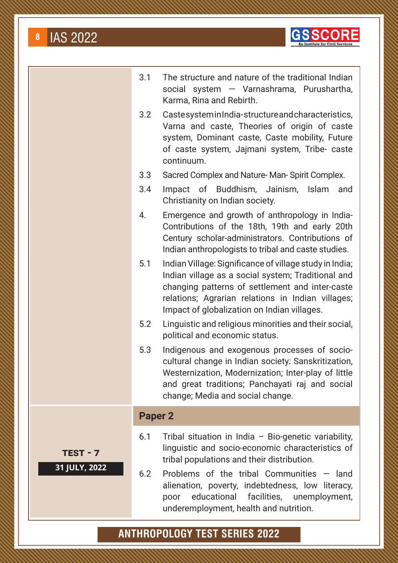

|    | 3.1            | The structure and nature of the traditional Indian<br>social system - Varnashrama, Purushartha,<br>Karma, Rina and Rebirth.                                                                                                                                                                                |
|----|----------------|------------------------------------------------------------------------------------------------------------------------------------------------------------------------------------------------------------------------------------------------------------------------------------------------------------|
|    | 3.2            | CastesysteminIndia-structureandcharacteristics,<br>Varna and caste, Theories of origin of caste<br>system, Dominant caste, Caste mobility, Future<br>of caste system, Jajmani system, Tribe- caste<br>continuum.                                                                                           |
|    | 3.3            | Sacred Complex and Nature-Man-Spirit Complex.                                                                                                                                                                                                                                                              |
|    | 3.4            | Impact of Buddhism, Jainism, Islam<br>and<br>Christianity on Indian society.                                                                                                                                                                                                                               |
|    | 4.             | Emergence and growth of anthropology in India-<br>Contributions of the 18th, 19th and early 20th<br>Century scholar-administrators. Contributions of<br>Indian anthropologists to tribal and caste studies.                                                                                                |
|    | 5.1            | Indian Village: Significance of village study in India;<br>Indian village as a social system; Traditional and<br>changing patterns of settlement and inter-caste<br>relations; Agrarian relations in Indian villages;<br>Impact of globalization on Indian villages.                                       |
|    | 5.2            | Linguistic and religious minorities and their social,<br>political and economic status.                                                                                                                                                                                                                    |
|    | 5.3            | Indigenous and exogenous processes of socio-<br>cultural change in Indian society: Sanskritization,<br>Westernization, Modernization; Inter-play of little<br>and great traditions; Panchayati raj and social<br>change; Media and social change.                                                          |
|    | <b>Paper 2</b> |                                                                                                                                                                                                                                                                                                            |
| 22 | 6.1<br>6.2     | Tribal situation in India - Bio-genetic variability,<br>linguistic and socio-economic characteristics of<br>tribal populations and their distribution.<br>Problems of the tribal Communities $-$ land<br>alienation, poverty, indebtedness, low literacy,<br>educational facilities, unemployment,<br>poor |
|    |                | underemployment, health and nutrition.                                                                                                                                                                                                                                                                     |

# **ANTHROPOLOGY TEST SERIES 2022**

**TEST - 7**

**31 JULY, 20**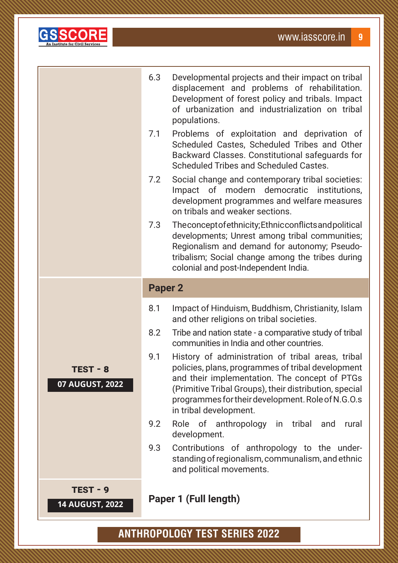

|                             | 6.3<br>7.1     | Developmental projects and their impact on tribal<br>displacement and problems of rehabilitation.<br>Development of forest policy and tribals. Impact<br>of urbanization and industrialization on tribal<br>populations.<br>Problems of exploitation and deprivation of<br>Scheduled Castes, Scheduled Tribes and Other<br>Backward Classes. Constitutional safeguards for<br>Scheduled Tribes and Scheduled Castes. |
|-----------------------------|----------------|----------------------------------------------------------------------------------------------------------------------------------------------------------------------------------------------------------------------------------------------------------------------------------------------------------------------------------------------------------------------------------------------------------------------|
|                             | 7.2            | Social change and contemporary tribal societies:<br>Impact of modern democratic institutions,<br>development programmes and welfare measures<br>on tribals and weaker sections.                                                                                                                                                                                                                                      |
|                             | 7.3            | The concept of ethnicity; Ethnic conflicts and political<br>developments; Unrest among tribal communities;<br>Regionalism and demand for autonomy; Pseudo-<br>tribalism; Social change among the tribes during<br>colonial and post-Independent India.                                                                                                                                                               |
|                             | <b>Paper 2</b> |                                                                                                                                                                                                                                                                                                                                                                                                                      |
|                             | 8.1            | Impact of Hinduism, Buddhism, Christianity, Islam                                                                                                                                                                                                                                                                                                                                                                    |
|                             | 8.2            | and other religions on tribal societies.<br>Tribe and nation state - a comparative study of tribal                                                                                                                                                                                                                                                                                                                   |
| TEST - 8<br>07 AUGUST, 2022 | 9.1            | communities in India and other countries.<br>History of administration of tribal areas, tribal<br>policies, plans, programmes of tribal development<br>and their implementation. The concept of PTGs<br>(Primitive Tribal Groups), their distribution, special<br>programmes for their development. Role of N.G.O.s<br>in tribal development.                                                                        |
|                             | 9.2            | Role of anthropology in tribal and<br>rural<br>development.                                                                                                                                                                                                                                                                                                                                                          |
|                             | 9.3            | Contributions of anthropology to the under-<br>standing of regionalism, communalism, and ethnic<br>and political movements.                                                                                                                                                                                                                                                                                          |